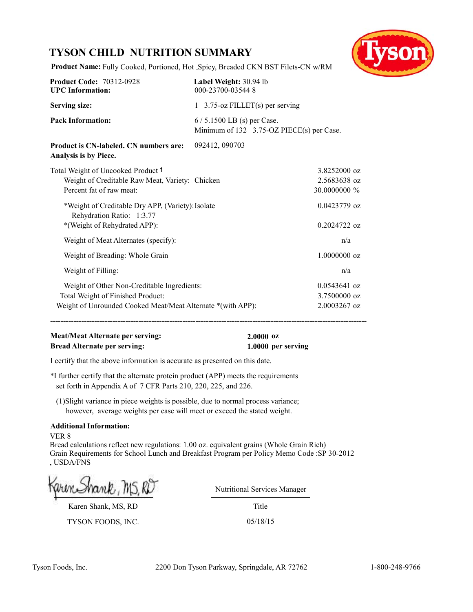# **TYSON CHILD NUTRITION SUMMARY**



**Product Name:** Fully Cooked, Portioned, Hot Spicy, Breaded CKN BST Filets-CN w/RM

| <b>Product Code: 70312-0928</b><br><b>UPC</b> Information:                     | Label Weight: 30.94 lb<br>000-23700-035448                               |                |  |
|--------------------------------------------------------------------------------|--------------------------------------------------------------------------|----------------|--|
| <b>Serving size:</b>                                                           | 1 3.75-oz FILLET(s) per serving                                          |                |  |
| <b>Pack Information:</b>                                                       | 6 / 5.1500 LB (s) per Case.<br>Minimum of 132 3.75-OZ PIECE(s) per Case. |                |  |
| Product is CN-labeled. CN numbers are:<br>Analysis is by Piece.                | 092412, 090703                                                           |                |  |
| Total Weight of Uncooked Product 1                                             |                                                                          | $3.8252000$ oz |  |
| Weight of Creditable Raw Meat, Variety: Chicken                                |                                                                          | 2.5683638 oz   |  |
| Percent fat of raw meat:                                                       |                                                                          | 30.0000000 %   |  |
| *Weight of Creditable Dry APP, (Variety): Isolate<br>Rehydration Ratio: 1:3.77 |                                                                          | $0.0423779$ oz |  |
| *(Weight of Rehydrated APP):                                                   |                                                                          | $0.2024722$ oz |  |
| Weight of Meat Alternates (specify):                                           |                                                                          | n/a            |  |
| Weight of Breading: Whole Grain                                                |                                                                          | 1.0000000 oz   |  |
| Weight of Filling:                                                             |                                                                          | n/a            |  |
| Weight of Other Non-Creditable Ingredients:                                    |                                                                          | $0.0543641$ oz |  |
| Total Weight of Finished Product:                                              |                                                                          | 3.7500000 oz   |  |
| Weight of Unrounded Cooked Meat/Meat Alternate *(with APP):                    |                                                                          | $2.0003267$ oz |  |
|                                                                                |                                                                          |                |  |

# **Meat/Meat Alternate per serving: 2.0000 oz Bread Alternate per serving: 1.0000 per serving**

I certify that the above information is accurate as presented on this date.

\*I further certify that the alternate protein product (APP) meets the requirements set forth in Appendix A of 7 CFR Parts 210, 220, 225, and 226.

 (1)Slight variance in piece weights is possible, due to normal process variance; however, average weights per case will meet or exceed the stated weight.

#### **Additional Information:**

VER 8

Bread calculations reflect new regulations: 1.00 oz. equivalent grains (Whole Grain Rich) Grain Requirements for School Lunch and Breakfast Program per Policy Memo Code :SP 30-2012 , USDA/FNS

Karen Shank, MS, RD

TYSON FOODS, INC. 05/18/15

Nutritional Services Manager

Title

Tyson Foods, Inc. 2200 Don Tyson Parkway, Springdale, AR 72762 1-800-248-9766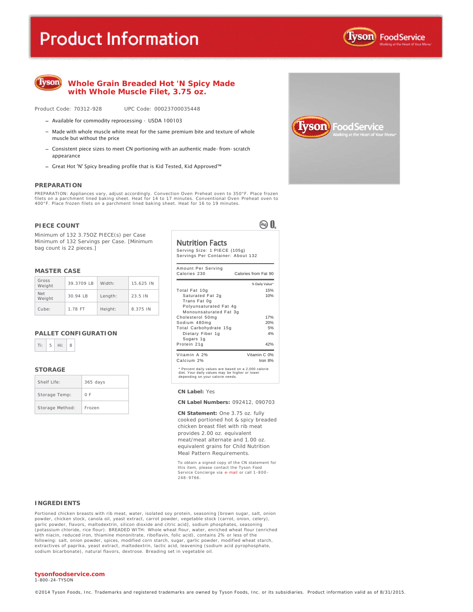# **Product Information**





#### **Whole Grain Breaded Hot 'N Spicy Made with Whole Muscle Filet, 3.75 oz.**

Product Code: 70312-928 UPC Code: 00023700035448

- Available for commodity reprocessing USDA 100103
- $-$  Made with whole muscle white meat for the same premium bite and texture of whole muscle but without the price
- Consistent piece sizes to meet CN portioning with an authentic made-from-scratch appearance
- Great Hot 'N' Spicy breading profile that is Kid Tested, Kid Approved™

#### **PREPARATION**

PREPARATION: Appliances vary, adjust accordingly. Convection Oven Preheat oven to 350°F. Place frozen filets on a parchment lined baking sheet. Heat for 14 to 17 minutes. Conventional Oven Preheat oven to 400°F. Place frozen filets on a parchment lined baking sheet. Heat for 16 to 19 minutes.

#### **PIECE COUNT**

Minimum of 132 3.75OZ PIECE(s) per Case Minimum of 132 Servings per Case. [Minimum bag count is 22 pieces.]

#### **MASTER CASE**

| Gross<br>Weight      | 39.3709 LB | Width:  | 15.625 IN |
|----------------------|------------|---------|-----------|
| <b>Net</b><br>Weight | $30.94$ IB | Length: | 23.5 IN   |
| Cube:                | 1.78 FT    | Height: | 8.375 IN  |

#### **PALLET CONFIGURATION**

| <b>COLLEGE</b> |  |
|----------------|--|

#### **STORAGE**

| Shelf Life:     | $365$ days |
|-----------------|------------|
| Storage Temp:   | 0 F        |
| Storage Method: | Frozen     |

Nutrition Facts

Serving Size: 1 PIECE (105g) Servings Per Container: About 132

®0.

| Amount Per Serving<br>Calories 230                                                                                                        | Calories from Fat 90 |
|-------------------------------------------------------------------------------------------------------------------------------------------|----------------------|
|                                                                                                                                           | % Daily Value*       |
| Total Fat 10g                                                                                                                             | 15%                  |
| Saturated Fat 2g<br>Trans Fat 0g                                                                                                          | 10%                  |
| Polyunsaturated Fat 4g<br>Monounsaturated Fat 3g                                                                                          |                      |
| Cholesterol 50mg                                                                                                                          | 17%                  |
| Sodium 480mg                                                                                                                              | 20%                  |
| Total Carbohydrate 15g                                                                                                                    | 5%                   |
| Dietary Fiber 1g<br>Sugars 1g                                                                                                             | 4%                   |
| Protein 21g                                                                                                                               | 42%                  |
| Vitamin A 2%                                                                                                                              | Vitamin C 0%         |
| Calcium 2%                                                                                                                                | Iron 8%              |
| * Percent daily values are based on a 2,000 calorie<br>diet. Your daily values may be higher or lower<br>depending on your calorie needs. |                      |

#### **CN Label:** Yes

**CN Label Numbers:** 092412, 090703

**CN Statement:** One 3.75 oz. fully cooked portioned hot & spicy breaded chicken breast filet with rib meat provides 2.00 oz. equivalent meat/meat alternate and 1.00 oz. equivalent grains for Child Nutrition Meal Pattern Requirements.

To obtain a signed copy of the CN statement for this item, please contact the Tyson Food Service Concierge via e-mail or call 1 -800 - 248 -9766.

#### **INGREDIENTS**

Portioned chicken breasts with rib meat, water, isolated soy protein, seasoning [brown sugar, salt, onion powder, chicken stock, canola oil, yeast extract, carrot powder, vegetable stock (carrot, onion, celery),<br>garlic powder, flavors, maltodextrin, silicon dioxide and citric acid], sodium phosphates, seasoning (potassium chloride, rice flour). BREADED WITH: Whole wheat flour, water, enriched wheat flour (enriched with niacin, reduced iron, thiamine mononitrate, riboflavin, folic acid), contains 2% or less of the following: salt, onion powder, spices, modified corn starch, sugar, garlic powder, modified wheat starch, extractives of paprika, yeast extract, maltodextrin, lactic acid, leavening (sodium acid pyrophosphate,<br>sodium bicarbonate), natural flavors, dextrose. Breading set in vegetable oil.

#### **tysonfoodservice.com**

1-800 -24-TYSON

©2014 Tyson Foods, Inc. Trademarks and registered trademarks are owned by Tyson Foods, Inc. or its subsidiaries. Product information valid as of 8/31/2015.

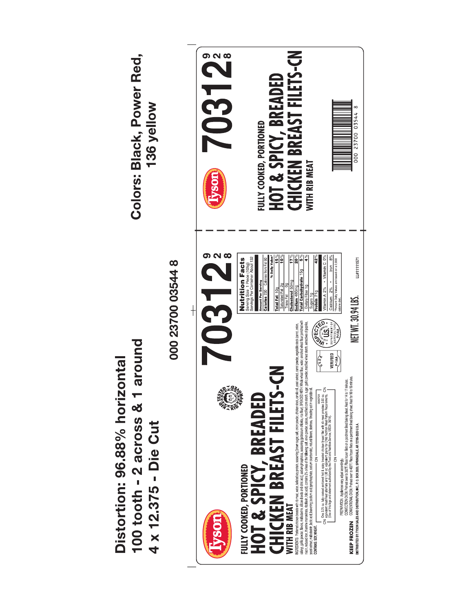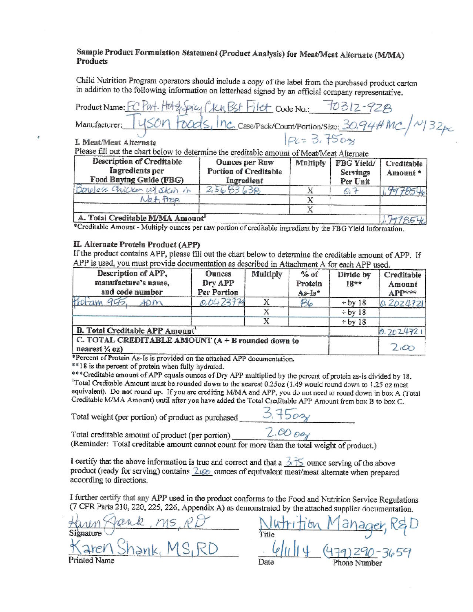# Sample Product Formulation Statement (Product Analysis) for Meat/Meat Alternate (M/MA) **Products**

Child Nutrition Program operators should include a copy of the label from the purchased product carton in addition to the following information on letterhead signed by an official company representative.

Product Name: Ku Bst Filet Code No.:  $\sim$  Case/Pack/Count/Portion/Size:  $30.94$ #M Manufacturer: I. Meat/Meat Alternate Please fill out the chart below to determine the creditable amount of Meat/Meat Alternate

| Description of Creditable<br>Ingredients per<br>Food Buying Guide (FBG) | <b>Ounces per Raw</b><br><b>Portion of Creditable</b><br>Ingredient | <b>Multiply</b> | FBG Yield/<br>Servings<br>Per Unit | Creditable<br>Amount* |
|-------------------------------------------------------------------------|---------------------------------------------------------------------|-----------------|------------------------------------|-----------------------|
| Doneless Chicken w/ Skin in                                             | $-30$                                                               |                 |                                    |                       |
| Vat Prop                                                                |                                                                     |                 |                                    |                       |
|                                                                         |                                                                     |                 |                                    |                       |
| A Total Creditable M/MA Amount                                          |                                                                     |                 |                                    |                       |

\*Creditable Amount - Multiply ounces per raw portion of creditable ingredient by the FBG Yield Information.

#### II. Alternate Protein Product (APP)

If the product contains APP, please fill out the chart below to determine the creditable amount of APP. If APP is used, you must provide documentation as described in Attachment A for each APP used.

| Description of APP,<br>manufacture's name,<br>and code number                  | <b>Ounces</b><br>Dry APP<br>Per Portion | <b>Multiply</b> | $%$ of<br>Protein<br>As-Is* | Divide by<br>$18**$ | Creditable<br>Amount<br>APP*** |
|--------------------------------------------------------------------------------|-----------------------------------------|-----------------|-----------------------------|---------------------|--------------------------------|
| ADM                                                                            | 0.0423779                               |                 | B6                          | $\div$ by 18        | 0.2024721                      |
|                                                                                |                                         |                 |                             | $\div$ by 18        |                                |
|                                                                                |                                         |                 |                             | $\div$ by 18        |                                |
| <b>B. Total Creditable APP Amount'</b>                                         |                                         |                 |                             |                     | 0.2024721                      |
| C. TOTAL CREDITABLE AMOUNT (A + B rounded down to<br>nearest $\frac{1}{4}$ oz) |                                         |                 |                             | $2 \infty$          |                                |

\*Percent of Protein As-Is is provided on the attached APP documentation.

\*\* 18 is the percent of protein when fully hydrated.

\*\*\* Creditable amount of APP equals ounces of Dry APP multiplied by the percent of protein as-is divided by 18. Total Creditable Amount must be rounded down to the nearest 0.25oz (1.49 would round down to 1.25 oz meat equivalent). Do not round up. If you are crediting M/MA and APP, you do not need to round down in box A (Total Creditable M/MA Amount) until after you have added the Total Creditable APP Amount from box B to box C.

Total weight (per portion) of product as purchased

Total creditable amount of product (per portion)

 $2.00$  Day

(Reminder: Total creditable amount cannot count for more than the total weight of product.)

I certify that the above information is true and correct and that a  $\frac{7}{2}$   $\frac{1}{5}$  ounce serving of the above product (ready for serving) contains *Luge* ounces of equivalent meat/meat alternate when prepared according to directions.

I further certify that any APP used in the product conforms to the Food and Nutrition Service Regulations (7 CFR Parts 210, 220, 225, 226, Appendix A) as demonstrated by the attached supplier documentation.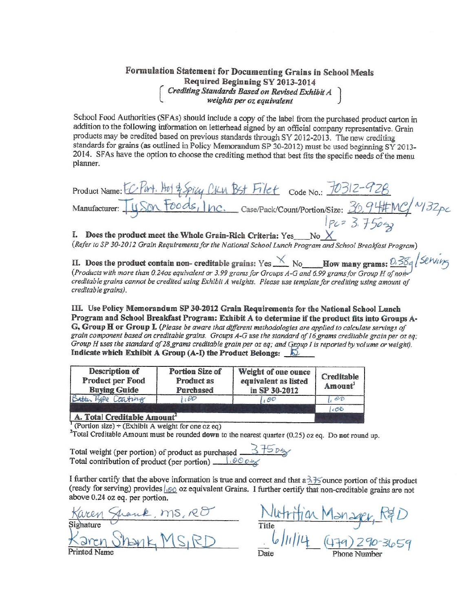# Formulation Statement for Documenting Grains in School Meals Required Beginning SY 2013-2014  $\begin{bmatrix} Crediting Standards Based on Revised Exhibit A\\ weights per oz equivalent \end{bmatrix}$

School Food Authorities (SFAs) should include a copy of the label from the purchased product carton in addition to the following information on letterhead signed by an official company representative. Grain products may be credited based on previous standards through SY 2012-2013. The new crediting standards for grains (as outlined in Policy Memorandum SP 30-2012) must be used beginning SY 2013-2014. SFAs have the option to choose the crediting method that best fits the specific needs of the menu planner.

Hot & Spicy CILV BSt Filet Code No.: 10312-4 Product Name: Foods, Inc. Case/Pack/Count/Portion/Size: 30.94#MC/~132pc Manufacturer:  $1pc = 3.75042$ 

I. Does the product meet the Whole Grain-Rich Criteria: Yes\_ No.

(Refer to SP 30-2012 Grain Requirements for the National School Lunch Program and School Breakfast Program)

II. Does the product contain non-creditable grains: Yes  $\times$  No How many grams: 0.384 Serving (Products with more than 0.240z equivalent or 3.99 grams for Groups A-G and 6.99 grams for Group H of non-creditable grains can creditable grains cannot be credited using Exhibit A weights. Please use template for crediting using amount of creditable grains).

III. Use Policy Memorandum SP 30-2012 Grain Requirements for the National School Lunch Program and School Breakfast Program: Exhibit A to determine if the product fits into Groups A-G, Group H or Group I. (Please be aware that different methodologies are applied to calculate servings of grain component based on creditable grains. Groups A-G use the standard of 16 grams creditable grain per oz eq; Group H uses the standard of 28 grams creditable grain per oz eq; and Group I is reported by volume or weight). Indicate which Exhibit A Group (A-I) the Product Belongs:  $\sqrt{2}$ 

| Description of<br>Product per Food<br><b>Buying Guide</b> | <b>Portion Size of</b><br>Product as<br>Purchased | Weight of one ounce<br>equivalent as listed<br>in SP 30-2012 | Creditable<br>Amount |
|-----------------------------------------------------------|---------------------------------------------------|--------------------------------------------------------------|----------------------|
| Batter Type Coating                                       | 100                                               | 100                                                          | OD                   |
|                                                           |                                                   |                                                              | 1.06                 |
| $A$ . Total Creditable Amount <sup>2</sup>                |                                                   |                                                              |                      |

 $T$ (Portion size) ÷ (Exhibit A weight for one oz eq)

<sup>2</sup>Total Creditable Amount must be rounded down to the nearest quarter (0.25) oz eq. Do not round up.

I further certify that the above information is true and correct and that  $a \frac{3}{2}$  founce portion of this product (ready for serving) provides  $\frac{1}{100}$  oz equivalent Grains. I further certify that non-creditable grains are not above 0.24 oz eq. per portion.

Sighature